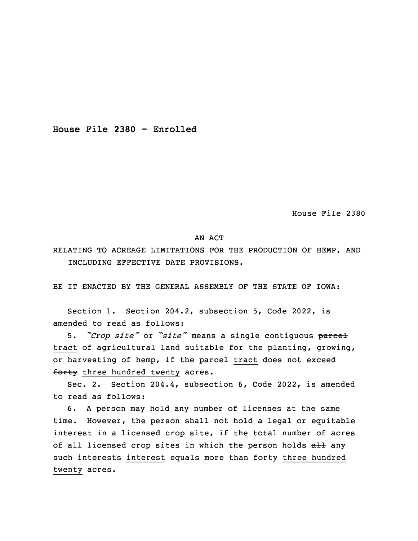**House File 2380 - Enrolled**

House File 2380

## AN ACT

RELATING TO ACREAGE LIMITATIONS FOR THE PRODUCTION OF HEMP, AND INCLUDING EFFECTIVE DATE PROVISIONS.

BE IT ENACTED BY THE GENERAL ASSEMBLY OF THE STATE OF IOWA:

 Section 1. Section 204.2, subsection 5, Code 2022, is amended to read as follows:

<sup>3</sup> 5. *"Crop site"* or *"site"* means <sup>a</sup> single contiguous parcel tract of agricultural land suitable for the planting, growing, or harvesting of hemp, if the parcel tract does not exceed forty three hundred twenty acres.

Sec. 2. Section 204.4, subsection 6, Code 2022, is amended to read as follows:

6. A person may hold any number of licenses at the same time. However, the person shall not hold a legal or equitable interest in <sup>a</sup> licensed crop site, if the total number of acres of all licensed crop sites in which the person holds all any such interests interest equals more than forty three hundred twenty acres.